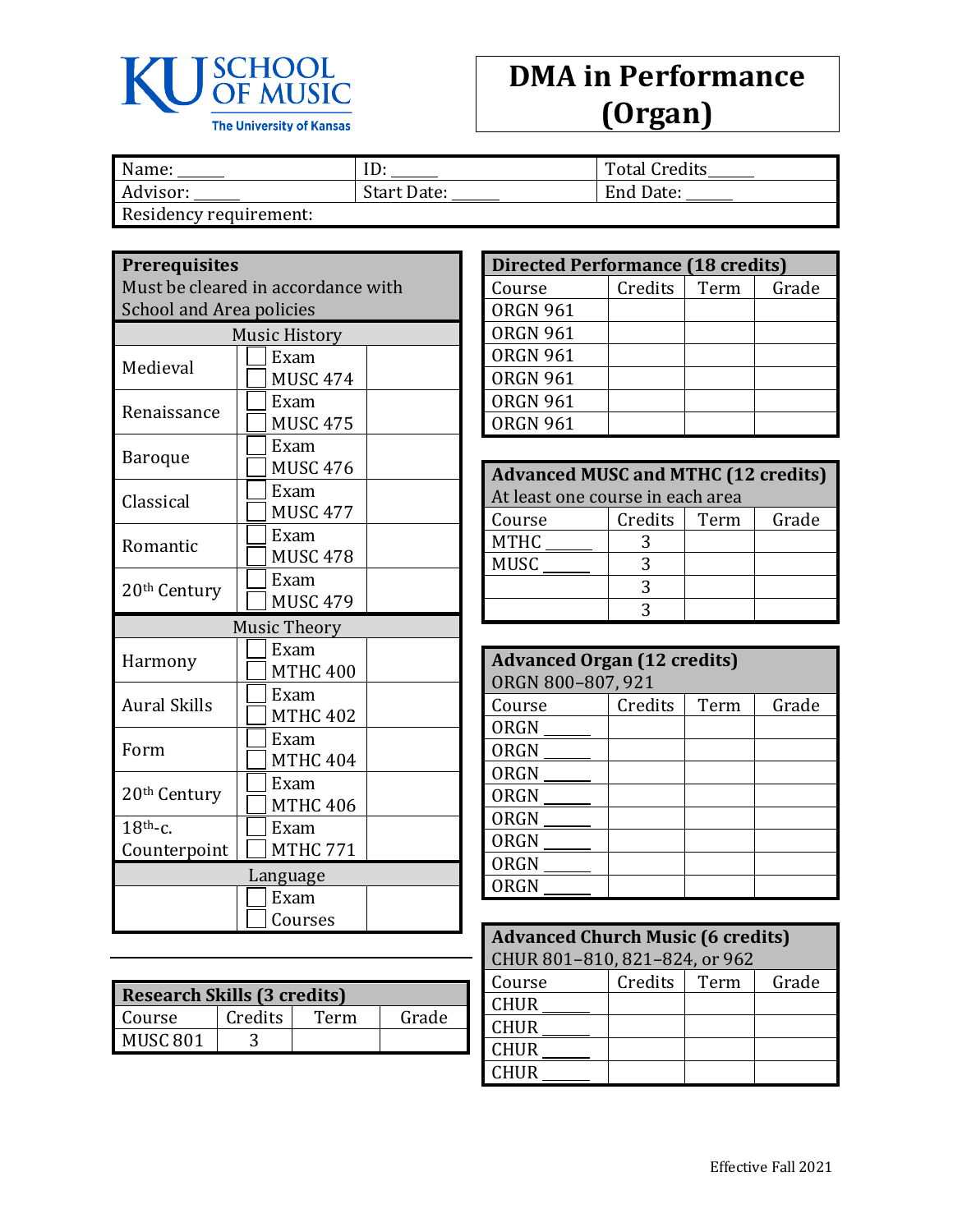

## **DMA in Performance (Organ)**

| Name:                  | ID:         | <b>Total Credits</b> |
|------------------------|-------------|----------------------|
| Advisor:               | Start Date: | End Date:            |
| Residency requirement: |             |                      |

| <b>Prerequisites</b><br>Must be cleared in accordance with |                         |  |  |
|------------------------------------------------------------|-------------------------|--|--|
| <b>School and Area policies</b>                            |                         |  |  |
|                                                            | <b>Music History</b>    |  |  |
| Medieval                                                   | Exam<br><b>MUSC 474</b> |  |  |
| Renaissance                                                | Exam<br><b>MUSC 475</b> |  |  |
| Baroque                                                    | Exam<br><b>MUSC 476</b> |  |  |
| Classical                                                  | Exam<br><b>MUSC 477</b> |  |  |
| Romantic                                                   | Exam<br><b>MUSC 478</b> |  |  |
| 20 <sup>th</sup> Century                                   | Exam<br><b>MUSC 479</b> |  |  |
|                                                            | <b>Music Theory</b>     |  |  |
| Harmony                                                    | Exam<br><b>MTHC 400</b> |  |  |
| <b>Aural Skills</b>                                        | Exam<br><b>MTHC 402</b> |  |  |
| Form                                                       | Exam<br><b>MTHC 404</b> |  |  |
| 20 <sup>th</sup> Century                                   | Exam<br><b>MTHC 406</b> |  |  |
| $18th$ -c.<br>Counterpoint                                 | Exam<br><b>MTHC 771</b> |  |  |
|                                                            | Language                |  |  |
|                                                            | Exam<br>Courses         |  |  |

| <b>Research Skills (3 credits)</b> |         |      |       |  |
|------------------------------------|---------|------|-------|--|
| Course                             | Credits | Term | Grade |  |
| MUSC 801                           |         |      |       |  |

| <b>Directed Performance (18 credits)</b> |         |      |       |  |
|------------------------------------------|---------|------|-------|--|
| Course                                   | Credits | Term | Grade |  |
| <b>ORGN 961</b>                          |         |      |       |  |
| <b>ORGN 961</b>                          |         |      |       |  |
| <b>ORGN 961</b>                          |         |      |       |  |
| <b>ORGN 961</b>                          |         |      |       |  |
| <b>ORGN 961</b>                          |         |      |       |  |
| <b>ORGN 961</b>                          |         |      |       |  |

| <b>Advanced MUSC and MTHC (12 credits)</b> |  |  |  |  |  |
|--------------------------------------------|--|--|--|--|--|
| At least one course in each area           |  |  |  |  |  |
| Credits<br>Grade<br>Term<br>Course         |  |  |  |  |  |
| <b>MTHC</b>                                |  |  |  |  |  |
| <b>MUSC</b>                                |  |  |  |  |  |
|                                            |  |  |  |  |  |
|                                            |  |  |  |  |  |

| <b>Advanced Organ (12 credits)</b><br>ORGN 800-807, 921 |         |      |       |  |
|---------------------------------------------------------|---------|------|-------|--|
| Course                                                  | Credits | Term | Grade |  |
| ORGN                                                    |         |      |       |  |
| ORGN                                                    |         |      |       |  |
| ORGN                                                    |         |      |       |  |
| ORGN                                                    |         |      |       |  |
| ORGN                                                    |         |      |       |  |
| ORGN                                                    |         |      |       |  |
| ORGN                                                    |         |      |       |  |
| <b>ORGN</b>                                             |         |      |       |  |

| <b>Advanced Church Music (6 credits)</b> |                |  |       |  |
|------------------------------------------|----------------|--|-------|--|
| CHUR 801-810, 821-824, or 962            |                |  |       |  |
| Course                                   | Credits   Term |  | Grade |  |
| <b>CHUR</b>                              |                |  |       |  |
| <b>CHUR</b>                              |                |  |       |  |
| <b>CHUR</b>                              |                |  |       |  |
| <b>CHUR</b>                              |                |  |       |  |